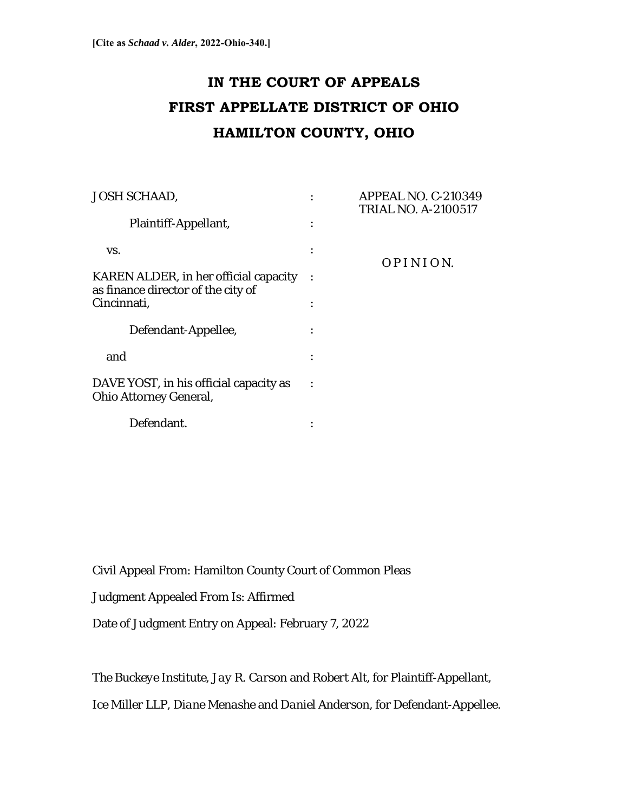# **IN THE COURT OF APPEALS FIRST APPELLATE DISTRICT OF OHIO HAMILTON COUNTY, OHIO**

| <b>JOSH SCHAAD,</b>                                                         | <b>APPEAL NO. C-210349</b><br><b>TRIAL NO. A-2100517</b> |
|-----------------------------------------------------------------------------|----------------------------------------------------------|
| Plaintiff-Appellant,                                                        |                                                          |
| VS.                                                                         | OPINION.                                                 |
| KAREN ALDER, in her official capacity<br>as finance director of the city of |                                                          |
| Cincinnati,                                                                 |                                                          |
| Defendant-Appellee,                                                         |                                                          |
| and                                                                         |                                                          |
| DAVE YOST, in his official capacity as<br>Ohio Attorney General,            |                                                          |
| Defendant.                                                                  |                                                          |

Civil Appeal From: Hamilton County Court of Common Pleas

Judgment Appealed From Is: Affirmed

Date of Judgment Entry on Appeal: February 7, 2022

*The Buckeye Institute*, *Jay R. Carson* and *Robert* Alt, for Plaintiff-Appellant,

*Ice Miller LLP*, *Diane Menashe* and *Daniel Anderson*, for Defendant-Appellee.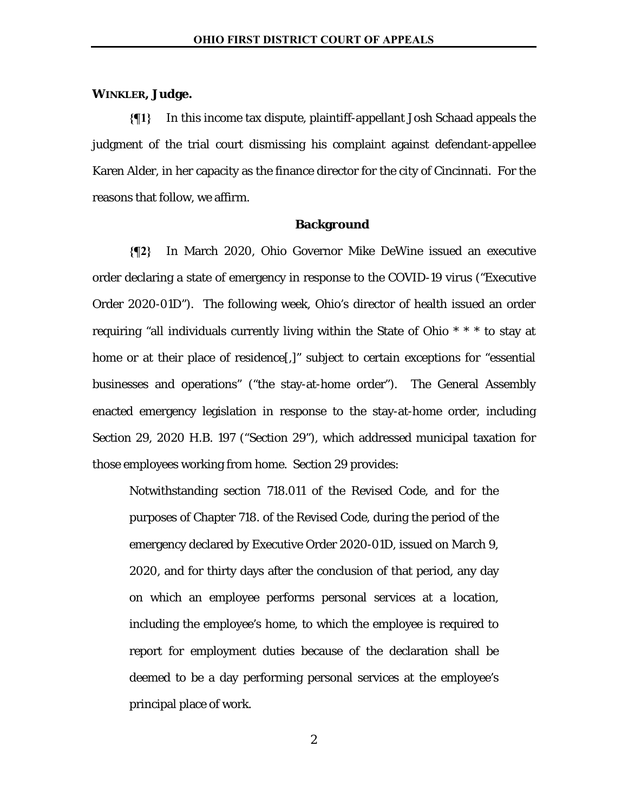## **WINKLER, Judge.**

**{¶1}** In this income tax dispute, plaintiff-appellant Josh Schaad appeals the judgment of the trial court dismissing his complaint against defendant-appellee Karen Alder, in her capacity as the finance director for the city of Cincinnati. For the reasons that follow, we affirm.

### **Background**

**{¶2}** In March 2020, Ohio Governor Mike DeWine issued an executive order declaring a state of emergency in response to the COVID-19 virus ("Executive Order 2020-01D"). The following week, Ohio's director of health issued an order requiring "all individuals currently living within the State of Ohio \* \* \* to stay at home or at their place of residence<sup>[,]</sup> subject to certain exceptions for "essential" businesses and operations" ("the stay-at-home order"). The General Assembly enacted emergency legislation in response to the stay-at-home order, including Section 29, 2020 H.B. 197 ("Section 29"), which addressed municipal taxation for those employees working from home. Section 29 provides:

Notwithstanding section 718.011 of the Revised Code, and for the purposes of Chapter 718. of the Revised Code, during the period of the emergency declared by Executive Order 2020-01D, issued on March 9, 2020, and for thirty days after the conclusion of that period, any day on which an employee performs personal services at a location, including the employee's home, to which the employee is required to report for employment duties because of the declaration shall be deemed to be a day performing personal services at the employee's principal place of work.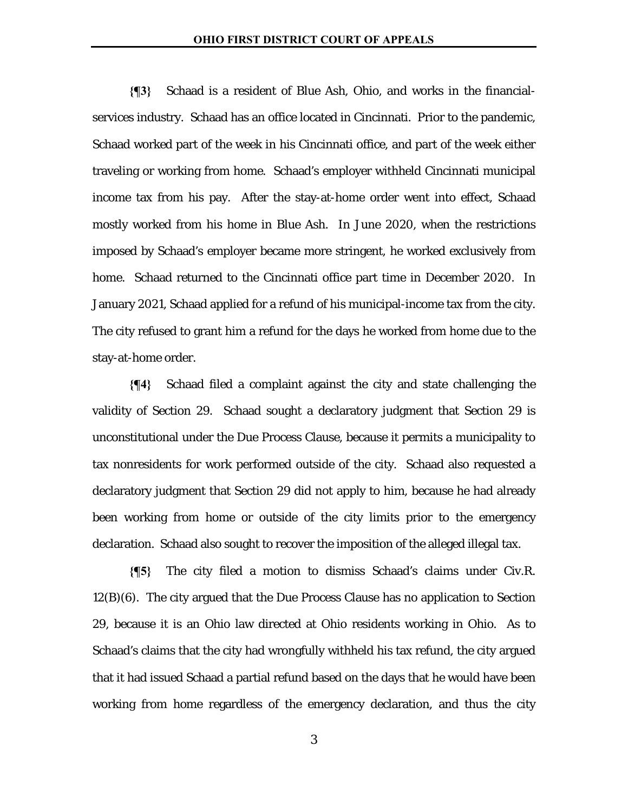**{¶3}** Schaad is a resident of Blue Ash, Ohio, and works in the financialservices industry. Schaad has an office located in Cincinnati. Prior to the pandemic, Schaad worked part of the week in his Cincinnati office, and part of the week either traveling or working from home. Schaad's employer withheld Cincinnati municipal income tax from his pay. After the stay-at-home order went into effect, Schaad mostly worked from his home in Blue Ash. In June 2020, when the restrictions imposed by Schaad's employer became more stringent, he worked exclusively from home. Schaad returned to the Cincinnati office part time in December 2020. In January 2021, Schaad applied for a refund of his municipal-income tax from the city. The city refused to grant him a refund for the days he worked from home due to the stay-at-home order.

**{¶4}** Schaad filed a complaint against the city and state challenging the validity of Section 29. Schaad sought a declaratory judgment that Section 29 is unconstitutional under the Due Process Clause, because it permits a municipality to tax nonresidents for work performed outside of the city. Schaad also requested a declaratory judgment that Section 29 did not apply to him, because he had already been working from home or outside of the city limits prior to the emergency declaration. Schaad also sought to recover the imposition of the alleged illegal tax.

**{¶5}** The city filed a motion to dismiss Schaad's claims under Civ.R. 12(B)(6). The city argued that the Due Process Clause has no application to Section 29, because it is an Ohio law directed at Ohio residents working in Ohio. As to Schaad's claims that the city had wrongfully withheld his tax refund, the city argued that it had issued Schaad a partial refund based on the days that he would have been working from home regardless of the emergency declaration, and thus the city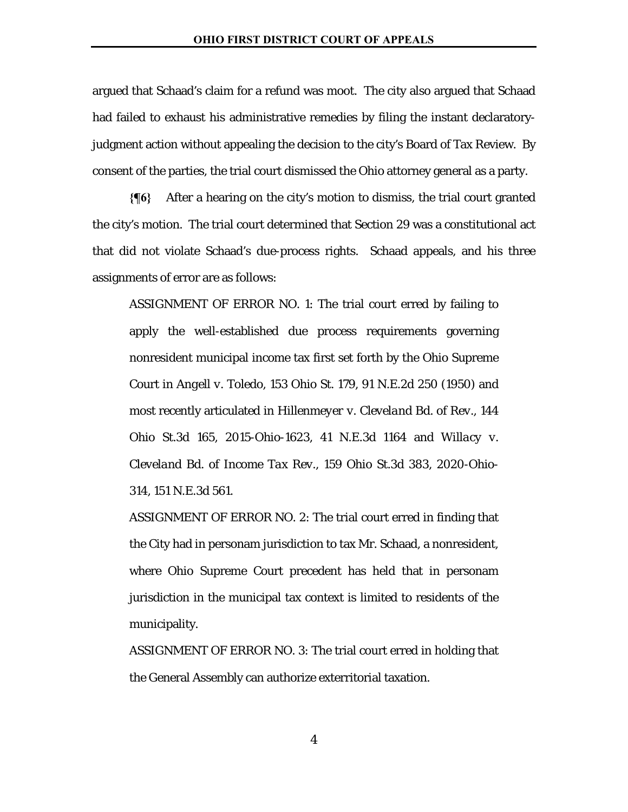argued that Schaad's claim for a refund was moot. The city also argued that Schaad had failed to exhaust his administrative remedies by filing the instant declaratoryjudgment action without appealing the decision to the city's Board of Tax Review. By consent of the parties, the trial court dismissed the Ohio attorney general as a party.

**{¶6}** After a hearing on the city's motion to dismiss, the trial court granted the city's motion. The trial court determined that Section 29 was a constitutional act that did not violate Schaad's due-process rights. Schaad appeals, and his three assignments of error are as follows:

ASSIGNMENT OF ERROR NO. 1: The trial court erred by failing to apply the well-established due process requirements governing nonresident municipal income tax first set forth by the Ohio Supreme Court in *Angell v. Toledo*, 153 Ohio St. 179, 91 N.E.2d 250 (1950) and most recently articulated in *Hillenmeyer v. Cleveland Bd. of Rev.*, 144 Ohio St.3d 165, 2015-Ohio-1623, 41 N.E.3d 1164 and *Willacy v. Cleveland Bd. of Income Tax Rev.*, 159 Ohio St.3d 383, 2020-Ohio-314, 151 N.E.3d 561.

ASSIGNMENT OF ERROR NO. 2: The trial court erred in finding that the City had in personam jurisdiction to tax Mr. Schaad, a nonresident, where Ohio Supreme Court precedent has held that in personam jurisdiction in the municipal tax context is limited to residents of the municipality.

ASSIGNMENT OF ERROR NO. 3: The trial court erred in holding that the General Assembly can authorize exterritorial taxation.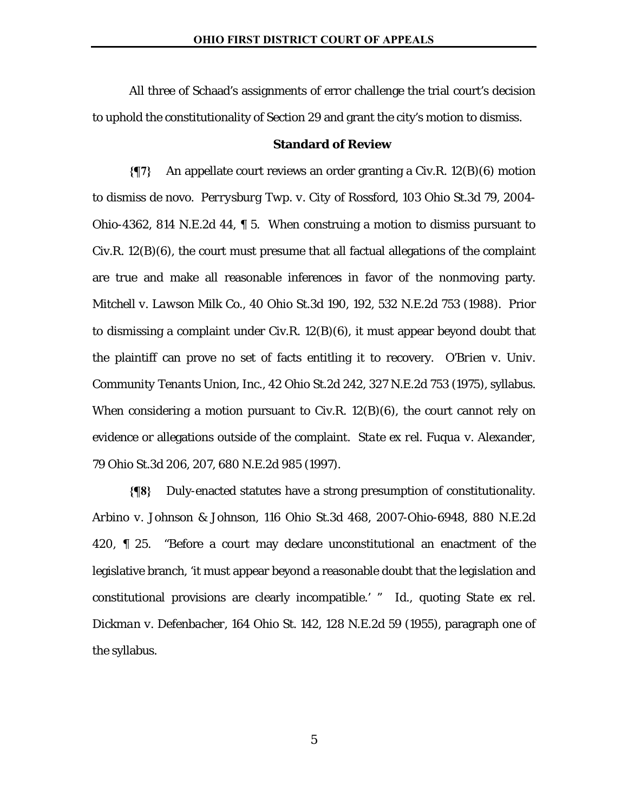All three of Schaad's assignments of error challenge the trial court's decision to uphold the constitutionality of Section 29 and grant the city's motion to dismiss.

#### **Standard of Review**

**{¶7}** An appellate court reviews an order granting a Civ.R. 12(B)(6) motion to dismiss de novo. *Perrysburg Twp. v. City of Rossford*, 103 Ohio St.3d 79, 2004- Ohio-4362, 814 N.E.2d 44, ¶ 5. When construing a motion to dismiss pursuant to  $Civ.R. 12(B)(6)$ , the court must presume that all factual allegations of the complaint are true and make all reasonable inferences in favor of the nonmoving party. *Mitchell v. Lawson Milk Co.*, 40 Ohio St.3d 190, 192, 532 N.E.2d 753 (1988). Prior to dismissing a complaint under Civ.R. 12(B)(6), it must appear beyond doubt that the plaintiff can prove no set of facts entitling it to recovery. *O'Brien v. Univ. Community Tenants Union, Inc.*, 42 Ohio St.2d 242, 327 N.E.2d 753 (1975), syllabus. When considering a motion pursuant to Civ.R.  $12(B)(6)$ , the court cannot rely on evidence or allegations outside of the complaint. *State ex rel. Fuqua v. Alexander*, 79 Ohio St.3d 206, 207, 680 N.E.2d 985 (1997).

**{¶8}** Duly-enacted statutes have a strong presumption of constitutionality. *Arbino v. Johnson & Johnson*, 116 Ohio St.3d 468, 2007-Ohio-6948, 880 N.E.2d 420, ¶ 25. "Before a court may declare unconstitutional an enactment of the legislative branch, 'it must appear beyond a reasonable doubt that the legislation and constitutional provisions are clearly incompatible.' " *Id.*, quoting *State ex rel. Dickman v. Defenbacher*, 164 Ohio St. 142, 128 N.E.2d 59 (1955), paragraph one of the syllabus.

5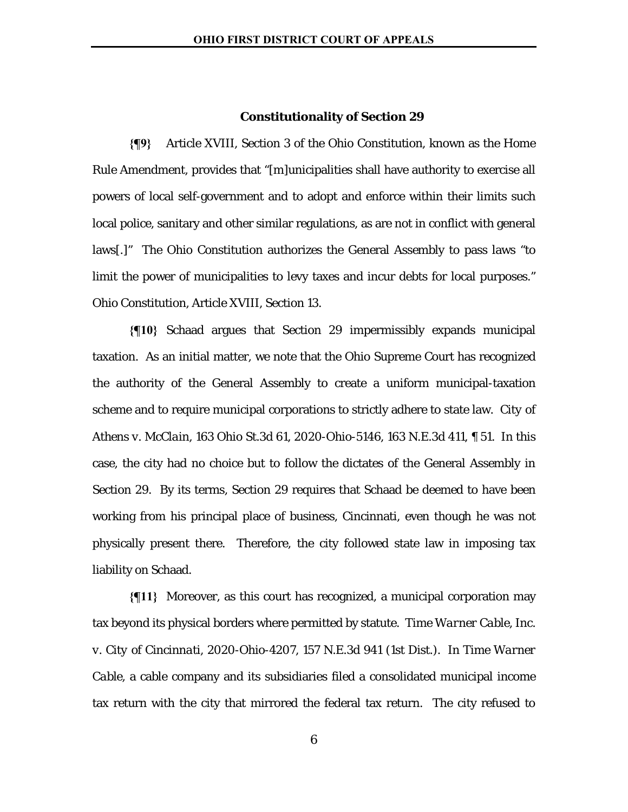#### **Constitutionality of Section 29**

**{¶9}** Article XVIII, Section 3 of the Ohio Constitution, known as the Home Rule Amendment, provides that "[m]unicipalities shall have authority to exercise all powers of local self-government and to adopt and enforce within their limits such local police, sanitary and other similar regulations, as are not in conflict with general laws[.]" The Ohio Constitution authorizes the General Assembly to pass laws "to limit the power of municipalities to levy taxes and incur debts for local purposes." Ohio Constitution, Article XVIII, Section 13.

**{¶10}** Schaad argues that Section 29 impermissibly expands municipal taxation. As an initial matter, we note that the Ohio Supreme Court has recognized the authority of the General Assembly to create a uniform municipal-taxation scheme and to require municipal corporations to strictly adhere to state law. *City of Athens v. McClain*, 163 Ohio St.3d 61, 2020-Ohio-5146, 163 N.E.3d 411, ¶ 51. In this case, the city had no choice but to follow the dictates of the General Assembly in Section 29. By its terms, Section 29 requires that Schaad be deemed to have been working from his principal place of business, Cincinnati, even though he was not physically present there. Therefore, the city followed state law in imposing tax liability on Schaad.

**{¶11}** Moreover, as this court has recognized, a municipal corporation may tax beyond its physical borders where permitted by statute. *Time Warner Cable, Inc. v. City of Cincinnati*, 2020-Ohio-4207, 157 N.E.3d 941 (1st Dist.). In *Time Warner Cable*, a cable company and its subsidiaries filed a consolidated municipal income tax return with the city that mirrored the federal tax return. The city refused to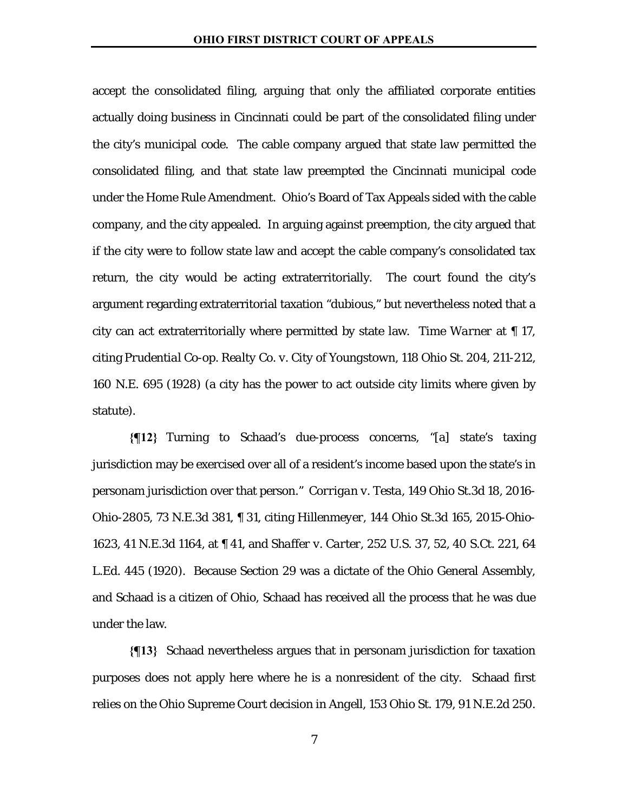accept the consolidated filing, arguing that only the affiliated corporate entities actually doing business in Cincinnati could be part of the consolidated filing under the city's municipal code. The cable company argued that state law permitted the consolidated filing, and that state law preempted the Cincinnati municipal code under the Home Rule Amendment. Ohio's Board of Tax Appeals sided with the cable company, and the city appealed. In arguing against preemption, the city argued that if the city were to follow state law and accept the cable company's consolidated tax return, the city would be acting extraterritorially. The court found the city's argument regarding extraterritorial taxation "dubious," but nevertheless noted that a city can act extraterritorially where permitted by state law. *Time Warner* at ¶ 17, citing *Prudential Co-op. Realty Co. v. City of Youngstown*, 118 Ohio St. 204, 211-212, 160 N.E. 695 (1928) (a city has the power to act outside city limits where given by statute).

**{¶12}** Turning to Schaad's due-process concerns, "[a] state's taxing jurisdiction may be exercised over all of a resident's income based upon the state's in personam jurisdiction over that person." *Corrigan v. Testa*, 149 Ohio St.3d 18, 2016- Ohio-2805, 73 N.E.3d 381, ¶ 31, citing *Hillenmeyer*, 144 Ohio St.3d 165, 2015-Ohio-1623, 41 N.E.3d 1164, at ¶ 41, and *Shaffer v. Carter*, 252 U.S. 37, 52, 40 S.Ct. 221, 64 L.Ed. 445 (1920). Because Section 29 was a dictate of the Ohio General Assembly, and Schaad is a citizen of Ohio, Schaad has received all the process that he was due under the law.

**{¶13}** Schaad nevertheless argues that in personam jurisdiction for taxation purposes does not apply here where he is a nonresident of the city. Schaad first relies on the Ohio Supreme Court decision in *Angell*, 153 Ohio St. 179, 91 N.E.2d 250.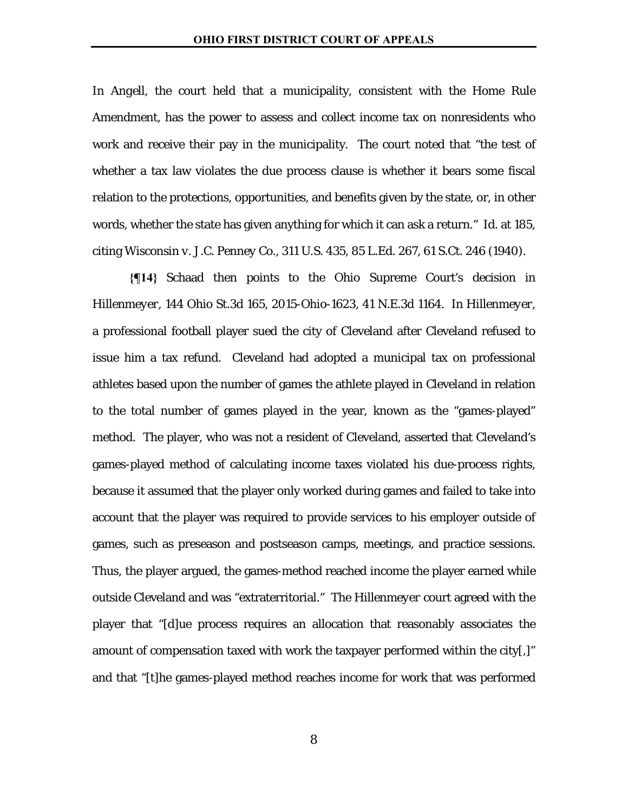In *Angell*, the court held that a municipality, consistent with the Home Rule Amendment, has the power to assess and collect income tax on nonresidents who work and receive their pay in the municipality. The court noted that "the test of whether a tax law violates the due process clause is whether it bears some fiscal relation to the protections, opportunities, and benefits given by the state, or, in other words, whether the state has given anything for which it can ask a return." *Id.* at 185, citing *Wisconsin v. J.C. Penney Co.*, 311 U.S. 435, 85 L.Ed. 267, 61 S.Ct. 246 (1940).

**{¶14}** Schaad then points to the Ohio Supreme Court's decision in *Hillenmeyer*, 144 Ohio St.3d 165, 2015-Ohio-1623, 41 N.E.3d 1164. In *Hillenmeyer*, a professional football player sued the city of Cleveland after Cleveland refused to issue him a tax refund. Cleveland had adopted a municipal tax on professional athletes based upon the number of games the athlete played in Cleveland in relation to the total number of games played in the year, known as the "games-played" method. The player, who was not a resident of Cleveland, asserted that Cleveland's games-played method of calculating income taxes violated his due-process rights, because it assumed that the player only worked during games and failed to take into account that the player was required to provide services to his employer outside of games, such as preseason and postseason camps, meetings, and practice sessions. Thus, the player argued, the games-method reached income the player earned while outside Cleveland and was "extraterritorial." The *Hillenmeyer* court agreed with the player that "[d]ue process requires an allocation that reasonably associates the amount of compensation taxed with work the taxpayer performed within the city[,]" and that "[t]he games-played method reaches income for work that was performed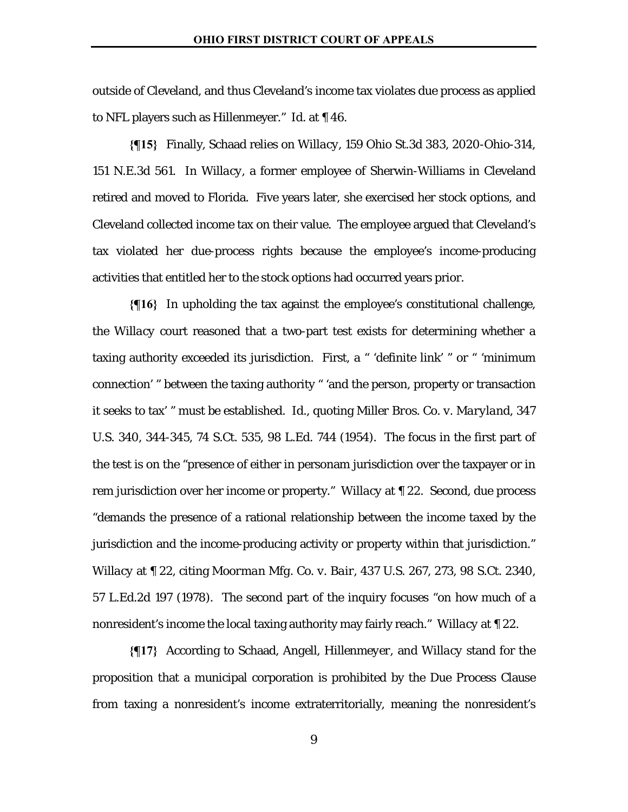outside of Cleveland, and thus Cleveland's income tax violates due process as applied to NFL players such as Hillenmeyer." *Id.* at ¶ 46.

**{¶15}** Finally, Schaad relies on *Willacy*, 159 Ohio St.3d 383, 2020-Ohio-314, 151 N.E.3d 561. In *Willacy*, a former employee of Sherwin-Williams in Cleveland retired and moved to Florida. Five years later, she exercised her stock options, and Cleveland collected income tax on their value. The employee argued that Cleveland's tax violated her due-process rights because the employee's income-producing activities that entitled her to the stock options had occurred years prior.

**{¶16}** In upholding the tax against the employee's constitutional challenge, the *Willacy* court reasoned that a two-part test exists for determining whether a taxing authority exceeded its jurisdiction. First, a " 'definite link' " or " 'minimum connection' " between the taxing authority " 'and the person, property or transaction it seeks to tax' " must be established. *Id.*, quoting *Miller Bros. Co. v. Maryland*, 347 U.S. 340, 344-345, 74 S.Ct. 535, 98 L.Ed. 744 (1954). The focus in the first part of the test is on the "presence of either in personam jurisdiction over the taxpayer or in rem jurisdiction over her income or property." *Willacy* at ¶ 22. Second, due process "demands the presence of a rational relationship between the income taxed by the jurisdiction and the income-producing activity or property within that jurisdiction." *Willacy* at ¶ 22, citing *Moorman Mfg. Co. v. Bair*, 437 U.S. 267, 273, 98 S.Ct. 2340, 57 L.Ed.2d 197 (1978). The second part of the inquiry focuses "on how much of a nonresident's income the local taxing authority may fairly reach." *Willacy* at ¶ 22.

**{¶17}** According to Schaad, *Angell*, *Hillenmeyer*, and *Willacy* stand for the proposition that a municipal corporation is prohibited by the Due Process Clause from taxing a nonresident's income extraterritorially, meaning the nonresident's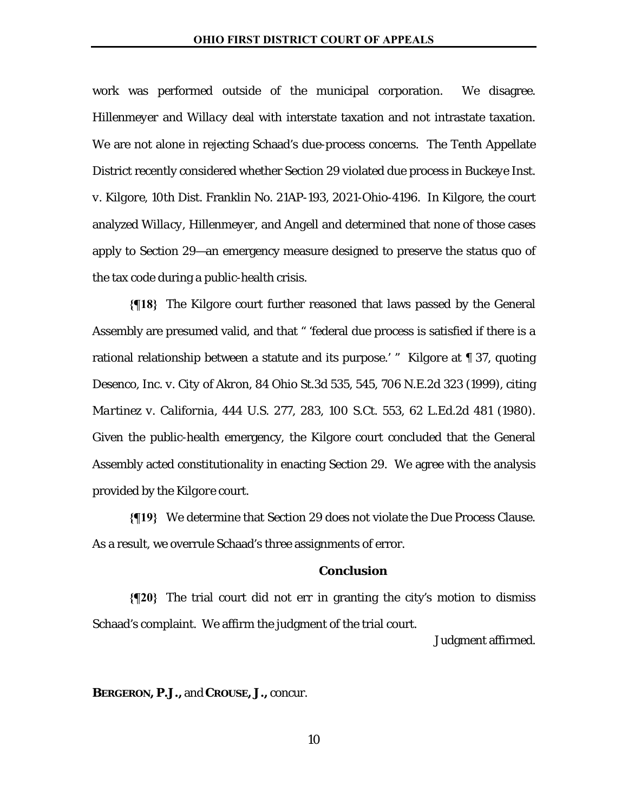work was performed outside of the municipal corporation. We disagree. *Hillenmeyer* and *Willacy* deal with interstate taxation and not intrastate taxation. We are not alone in rejecting Schaad's due-process concerns. The Tenth Appellate District recently considered whether Section 29 violated due process in *Buckeye Inst. v. Kilgore*, 10th Dist. Franklin No. 21AP-193, 2021-Ohio-4196. In *Kilgore*, the court analyzed *Willacy*, *Hillenmeyer*, and *Angell* and determined that none of those cases apply to Section 29—an emergency measure designed to preserve the status quo of the tax code during a public-health crisis.

**{¶18}** The *Kilgore* court further reasoned that laws passed by the General Assembly are presumed valid, and that " 'federal due process is satisfied if there is a rational relationship between a statute and its purpose.' " *Kilgore* at ¶ 37, quoting *Desenco, Inc. v. City of Akron*, 84 Ohio St.3d 535, 545, 706 N.E.2d 323 (1999), citing *Martinez v. California*, 444 U.S. 277, 283, 100 S.Ct. 553, 62 L.Ed.2d 481 (1980). Given the public-health emergency, the *Kilgore* court concluded that the General Assembly acted constitutionality in enacting Section 29. We agree with the analysis provided by the *Kilgore* court.

**{¶19}** We determine that Section 29 does not violate the Due Process Clause. As a result, we overrule Schaad's three assignments of error.

# **Conclusion**

**{¶20}** The trial court did not err in granting the city's motion to dismiss Schaad's complaint. We affirm the judgment of the trial court.

Judgment affirmed.

**BERGERON, P.J.,** and **CROUSE, J.,** concur.